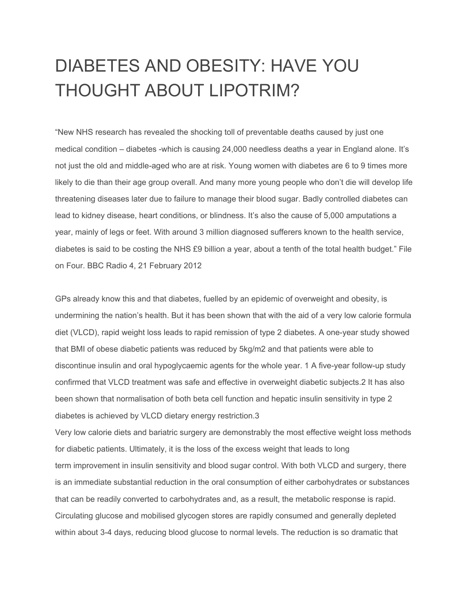## DIABETES AND OBESITY: HAVE YOU THOUGHT ABOUT LIPOTRIM?

"New NHS research has revealed the shocking toll of preventable deaths caused by just one medical condition – diabetes -which is causing 24,000 needless deaths a year in England alone. It's not just the old and middle-aged who are at risk. Young women with diabetes are 6 to 9 times more likely to die than their age group overall. And many more young people who don't die will develop life threatening diseases later due to failure to manage their blood sugar. Badly controlled diabetes can lead to kidney disease, heart conditions, or blindness. It's also the cause of 5,000 amputations a year, mainly of legs or feet. With around 3 million diagnosed sufferers known to the health service, diabetes is said to be costing the NHS £9 billion a year, about a tenth of the total health budget." File on Four. BBC Radio 4, 21 February 2012

GPs already know this and that diabetes, fuelled by an epidemic of overweight and obesity, is undermining the nation's health. But it has been shown that with the aid of a very low calorie formula diet (VLCD), rapid weight loss leads to rapid remission of type 2 diabetes. A one-year study showed that BMI of obese diabetic patients was reduced by 5kg/m2 and that patients were able to discontinue insulin and oral hypoglycaemic agents for the whole year. 1 A five-year follow-up study confirmed that VLCD treatment was safe and effective in overweight diabetic subjects.2 It has also been shown that normalisation of both beta cell function and hepatic insulin sensitivity in type 2 diabetes is achieved by VLCD dietary energy restriction.3

Very low calorie diets and bariatric surgery are demonstrably the most effective weight loss methods for diabetic patients. Ultimately, it is the loss of the excess weight that leads to long term improvement in insulin sensitivity and blood sugar control. With both VLCD and surgery, there is an immediate substantial reduction in the oral consumption of either carbohydrates or substances that can be readily converted to carbohydrates and, as a result, the metabolic response is rapid. Circulating glucose and mobilised glycogen stores are rapidly consumed and generally depleted within about 3-4 days, reducing blood glucose to normal levels. The reduction is so dramatic that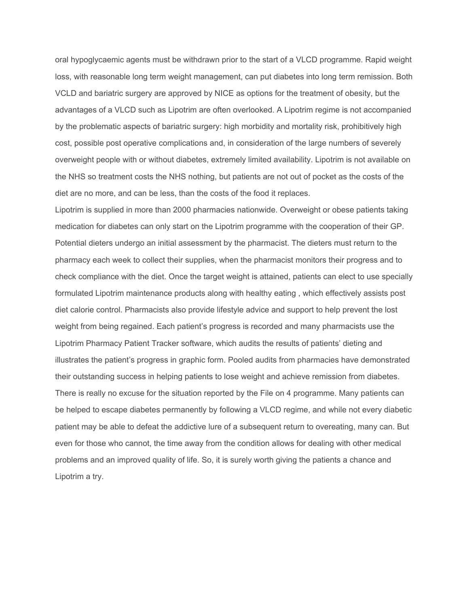oral hypoglycaemic agents must be withdrawn prior to the start of a VLCD programme. Rapid weight loss, with reasonable long term weight management, can put diabetes into long term remission. Both VCLD and bariatric surgery are approved by NICE as options for the treatment of obesity, but the advantages of a VLCD such as Lipotrim are often overlooked. A Lipotrim regime is not accompanied by the problematic aspects of bariatric surgery: high morbidity and mortality risk, prohibitively high cost, possible post operative complications and, in consideration of the large numbers of severely overweight people with or without diabetes, extremely limited availability. Lipotrim is not available on the NHS so treatment costs the NHS nothing, but patients are not out of pocket as the costs of the diet are no more, and can be less, than the costs of the food it replaces.

Lipotrim is supplied in more than 2000 pharmacies nationwide. Overweight or obese patients taking medication for diabetes can only start on the Lipotrim programme with the cooperation of their GP. Potential dieters undergo an initial assessment by the pharmacist. The dieters must return to the pharmacy each week to collect their supplies, when the pharmacist monitors their progress and to check compliance with the diet. Once the target weight is attained, patients can elect to use specially formulated Lipotrim maintenance products along with healthy eating , which effectively assists post diet calorie control. Pharmacists also provide lifestyle advice and support to help prevent the lost weight from being regained. Each patient's progress is recorded and many pharmacists use the Lipotrim Pharmacy Patient Tracker software, which audits the results of patients' dieting and illustrates the patient's progress in graphic form. Pooled audits from pharmacies have demonstrated their outstanding success in helping patients to lose weight and achieve remission from diabetes. There is really no excuse for the situation reported by the File on 4 programme. Many patients can be helped to escape diabetes permanently by following a VLCD regime, and while not every diabetic patient may be able to defeat the addictive lure of a subsequent return to overeating, many can. But even for those who cannot, the time away from the condition allows for dealing with other medical problems and an improved quality of life. So, it is surely worth giving the patients a chance and Lipotrim a try.